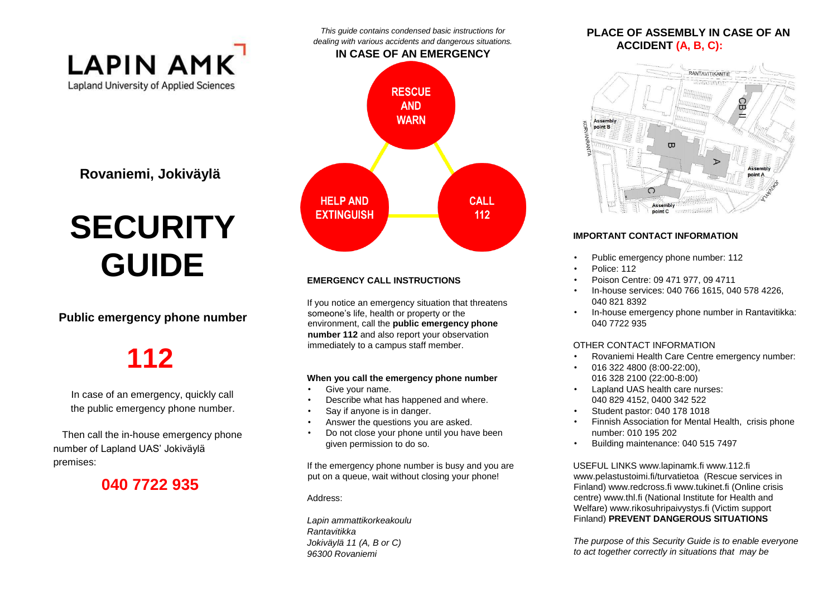

**Rovaniemi, Jokiväylä** 

# **SECURITY GUIDE**

#### **Public emergency phone number**

## **112**

In case of an emergency, quickly call the public emergency phone number.

Then call the in-house emergency phone number of Lapland UAS' Jokiväylä premises:

### **040 7722 935**



*This guide contains condensed basic instructions for* 

#### **EMERGENCY CALL INSTRUCTIONS**

If you notice an emergency situation that threatens someone's life, health or property or the environment, call the **public emergency phone number 112** and also report your observation immediately to a campus staff member.

#### **When you call the emergency phone number**

- Give your name.
- Describe what has happened and where.
- Say if anyone is in danger.
- Answer the questions you are asked.
- Do not close your phone until you have been given permission to do so.

If the emergency phone number is busy and you are put on a queue, wait without closing your phone!

Address:

*Lapin ammattikorkeakoulu Rantavitikka Jokiväylä 11 (A, B or C) 96300 Rovaniemi* 

#### **PLACE OF ASSEMBLY IN CASE OF AN ACCIDENT (A, B, C):**



#### **IMPORTANT CONTACT INFORMATION**

- Public emergency phone number: 112
- Police: 112
- Poison Centre: 09 471 977, 09 4711
- In-house services: 040 766 1615, 040 578 4226, 040 821 8392
- In-house emergency phone number in Rantavitikka: 040 7722 935

#### OTHER CONTACT INFORMATION

- Rovaniemi Health Care Centre emergency number:
- 016 322 4800 (8:00-22:00), 016 328 2100 (22:00-8:00)
- Lapland UAS health care nurses: 040 829 4152, 0400 342 522
- Student pastor: 040 178 1018
- Finnish Association for Mental Health, crisis phone number: 010 195 202
- Building maintenance: 040 515 7497

USEFUL LINKS www.lapinamk.fi www.112.fi www.pelastustoimi.fi/turvatietoa (Rescue services in Finland) www.redcross.fi www.tukinet.fi (Online crisis centre) www.thl.fi (National Institute for Health and Welfare) www.rikosuhripaivystys.fi (Victim support Finland) **PREVENT DANGEROUS SITUATIONS** 

*The purpose of this Security Guide is to enable everyone to act together correctly in situations that may be*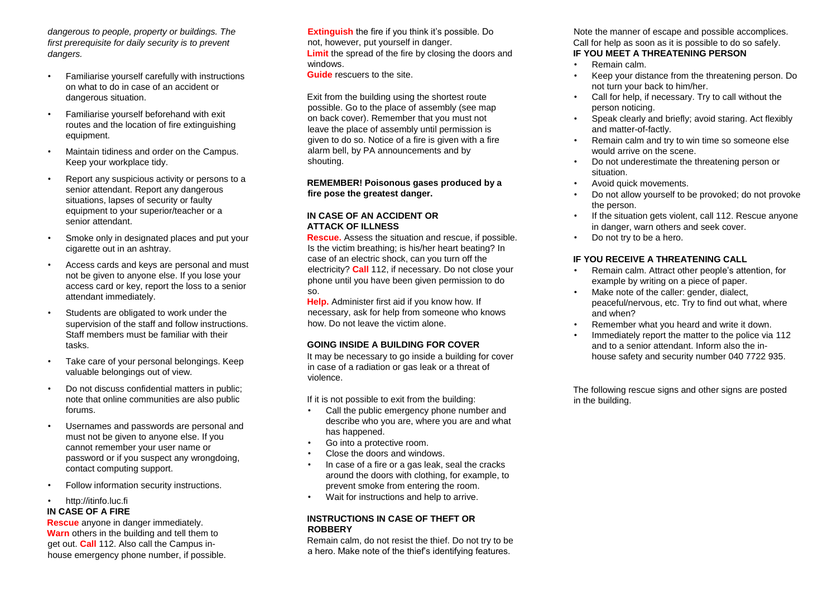*dangerous to people, property or buildings. The first prerequisite for daily security is to prevent dangers.* 

- Familiarise yourself carefully with instructions on what to do in case of an accident or dangerous situation.
- Familiarise yourself beforehand with exit routes and the location of fire extinguishing equipment.
- Maintain tidiness and order on the Campus. Keep your workplace tidy.
- Report any suspicious activity or persons to a senior attendant. Report any dangerous situations, lapses of security or faulty equipment to your superior/teacher or a senior attendant.
- Smoke only in designated places and put your cigarette out in an ashtray.
- Access cards and keys are personal and must not be given to anyone else. If you lose your access card or key, report the loss to a senior attendant immediately.
- Students are obligated to work under the supervision of the staff and follow instructions. Staff members must be familiar with their tasks.
- Take care of your personal belongings. Keep valuable belongings out of view.
- Do not discuss confidential matters in public; note that online communities are also public forums.
- Usernames and passwords are personal and must not be given to anyone else. If you cannot remember your user name or password or if you suspect any wrongdoing, contact computing support.
- Follow information security instructions.

#### • http://itinfo.luc.fi

#### **IN CASE OF A FIRE**

**Rescue** anyone in danger immediately. **Warn** others in the building and tell them to get out. **Call** 112. Also call the Campus inhouse emergency phone number, if possible. **Extinguish** the fire if you think it's possible. Do not, however, put yourself in danger. **Limit** the spread of the fire by closing the doors and windows.

**Guide** rescuers to the site.

Exit from the building using the shortest route possible. Go to the place of assembly (see map on back cover). Remember that you must not leave the place of assembly until permission is given to do so. Notice of a fire is given with a fire alarm bell, by PA announcements and by shouting.

**REMEMBER! Poisonous gases produced by a fire pose the greatest danger.** 

#### **IN CASE OF AN ACCIDENT OR ATTACK OF ILLNESS**

**Rescue.** Assess the situation and rescue, if possible. Is the victim breathing; is his/her heart beating? In case of an electric shock, can you turn off the electricity? **Call** 112, if necessary. Do not close your phone until you have been given permission to do so.

**Help.** Administer first aid if you know how. If necessary, ask for help from someone who knows how. Do not leave the victim alone.

#### **GOING INSIDE A BUILDING FOR COVER**

It may be necessary to go inside a building for cover in case of a radiation or gas leak or a threat of violence.

If it is not possible to exit from the building:

- Call the public emergency phone number and describe who you are, where you are and what has happened.
- Go into a protective room.
- Close the doors and windows.
- In case of a fire or a gas leak, seal the cracks around the doors with clothing, for example, to prevent smoke from entering the room.
- Wait for instructions and help to arrive.

#### **INSTRUCTIONS IN CASE OF THEFT OR ROBBERY**

Remain calm, do not resist the thief. Do not try to be a hero. Make note of the thief's identifying features.

Note the manner of escape and possible accomplices. Call for help as soon as it is possible to do so safely. **IF YOU MEET A THREATENING PERSON**

- Remain calm.
- Keep your distance from the threatening person. Do not turn your back to him/her.
- Call for help, if necessary. Try to call without the person noticing.
- Speak clearly and briefly; avoid staring. Act flexibly and matter-of-factly.
- Remain calm and try to win time so someone else would arrive on the scene.
- Do not underestimate the threatening person or situation.
- Avoid quick movements.
- Do not allow yourself to be provoked; do not provoke the person.
- If the situation gets violent, call 112. Rescue anyone in danger, warn others and seek cover.
- Do not try to be a hero.

#### **IF YOU RECEIVE A THREATENING CALL**

- Remain calm. Attract other people's attention, for example by writing on a piece of paper.
- Make note of the caller: gender, dialect, peaceful/nervous, etc. Try to find out what, where and when?
- Remember what you heard and write it down.
- Immediately report the matter to the police via 112 and to a senior attendant. Inform also the inhouse safety and security number 040 7722 935.

The following rescue signs and other signs are posted in the building.